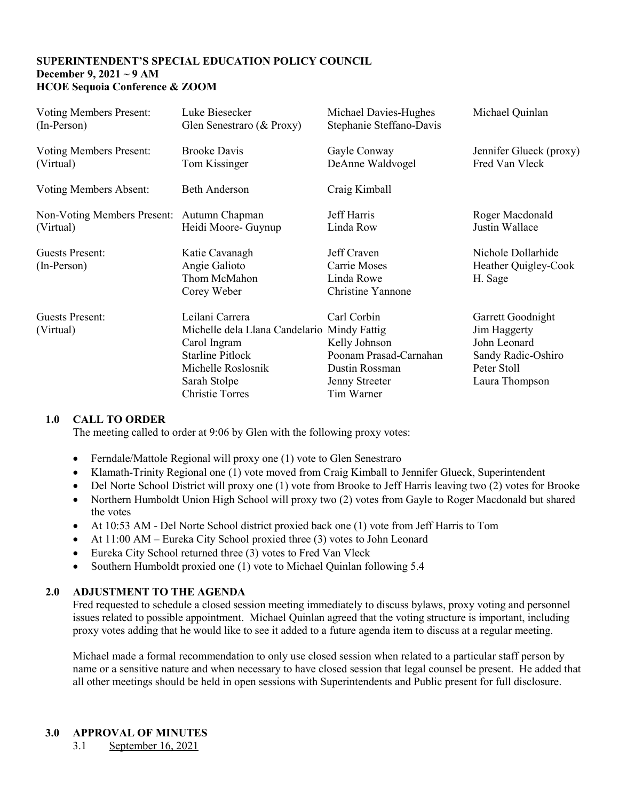## **SUPERINTENDENT'S SPECIAL EDUCATION POLICY COUNCIL December 9, 2021 ~ 9 AM HCOE Sequoia Conference & ZOOM**

| <b>Voting Members Present:</b> | Luke Biesecker                                                                                                                                                            | Michael Davies-Hughes                                                                                    | Michael Quinlan                                                                                          |
|--------------------------------|---------------------------------------------------------------------------------------------------------------------------------------------------------------------------|----------------------------------------------------------------------------------------------------------|----------------------------------------------------------------------------------------------------------|
| $(In-Person)$                  | Glen Senestraro (& Proxy)                                                                                                                                                 | Stephanie Steffano-Davis                                                                                 |                                                                                                          |
| <b>Voting Members Present:</b> | <b>Brooke Davis</b>                                                                                                                                                       | Gayle Conway                                                                                             | Jennifer Glueck (proxy)                                                                                  |
| (Virtual)                      | Tom Kissinger                                                                                                                                                             | DeAnne Waldvogel                                                                                         | Fred Van Vleck                                                                                           |
| Voting Members Absent:         | <b>Beth Anderson</b>                                                                                                                                                      | Craig Kimball                                                                                            |                                                                                                          |
| Non-Voting Members Present:    | Autumn Chapman                                                                                                                                                            | Jeff Harris                                                                                              | Roger Macdonald                                                                                          |
| (Virtual)                      | Heidi Moore- Guynup                                                                                                                                                       | Linda Row                                                                                                | Justin Wallace                                                                                           |
| Guests Present:<br>(In-Person) | Katie Cavanagh<br>Angie Galioto<br>Thom McMahon<br>Corey Weber                                                                                                            | Jeff Craven<br>Carrie Moses<br>Linda Rowe<br>Christine Yannone                                           | Nichole Dollarhide<br>Heather Quigley-Cook<br>H. Sage                                                    |
| Guests Present:<br>(Virtual)   | Leilani Carrera<br>Michelle dela Llana Candelario Mindy Fattig<br>Carol Ingram<br><b>Starline Pitlock</b><br>Michelle Roslosnik<br>Sarah Stolpe<br><b>Christie Torres</b> | Carl Corbin<br>Kelly Johnson<br>Poonam Prasad-Carnahan<br>Dustin Rossman<br>Jenny Streeter<br>Tim Warner | Garrett Goodnight<br>Jim Haggerty<br>John Leonard<br>Sandy Radic-Oshiro<br>Peter Stoll<br>Laura Thompson |

## **1.0 CALL TO ORDER**

The meeting called to order at 9:06 by Glen with the following proxy votes:

- Ferndale/Mattole Regional will proxy one (1) vote to Glen Senestraro
- Klamath-Trinity Regional one (1) vote moved from Craig Kimball to Jennifer Glueck, Superintendent
- Del Norte School District will proxy one (1) vote from Brooke to Jeff Harris leaving two (2) votes for Brooke
- Northern Humboldt Union High School will proxy two (2) votes from Gayle to Roger Macdonald but shared the votes
- At 10:53 AM Del Norte School district proxied back one (1) vote from Jeff Harris to Tom
- At 11:00 AM Eureka City School proxied three (3) votes to John Leonard
- Eureka City School returned three (3) votes to Fred Van Vleck
- Southern Humboldt proxied one (1) vote to Michael Quinlan following 5.4

## **2.0 ADJUSTMENT TO THE AGENDA**

Fred requested to schedule a closed session meeting immediately to discuss bylaws, proxy voting and personnel issues related to possible appointment. Michael Quinlan agreed that the voting structure is important, including proxy votes adding that he would like to see it added to a future agenda item to discuss at a regular meeting.

Michael made a formal recommendation to only use closed session when related to a particular staff person by name or a sensitive nature and when necessary to have closed session that legal counsel be present. He added that all other meetings should be held in open sessions with Superintendents and Public present for full disclosure.

## **3.0 APPROVAL OF MINUTES**

3.1 September 16, 2021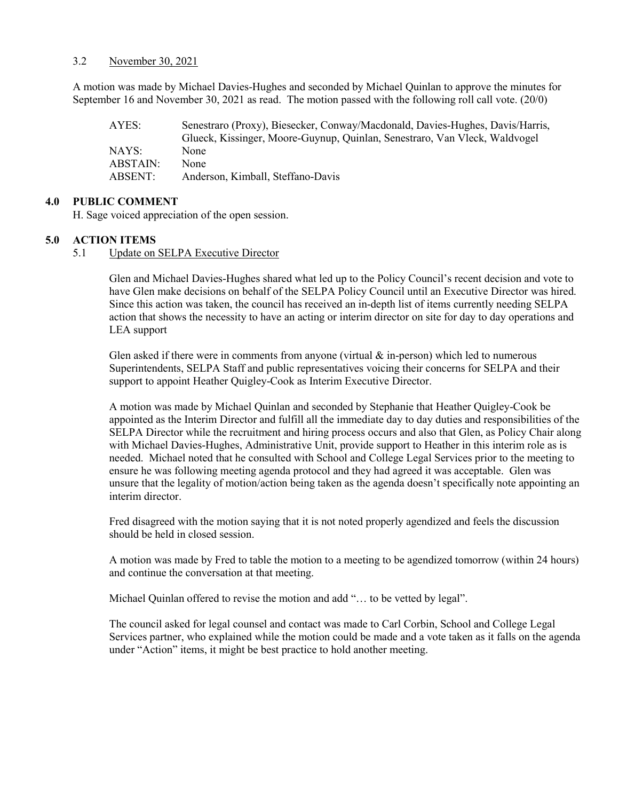#### 3.2 November 30, 2021

A motion was made by Michael Davies-Hughes and seconded by Michael Quinlan to approve the minutes for September 16 and November 30, 2021 as read. The motion passed with the following roll call vote. (20/0)

| AYES:    | Senestraro (Proxy), Biesecker, Conway/Macdonald, Davies-Hughes, Davis/Harris, |
|----------|-------------------------------------------------------------------------------|
|          | Glueck, Kissinger, Moore-Guynup, Quinlan, Senestraro, Van Vleck, Waldvogel    |
| NAYS:    | None                                                                          |
| ABSTAIN: | None                                                                          |
| ABSENT:  | Anderson, Kimball, Steffano-Davis                                             |

#### **4.0 PUBLIC COMMENT**

H. Sage voiced appreciation of the open session.

#### **5.0 ACTION ITEMS**

5.1 Update on SELPA Executive Director

Glen and Michael Davies-Hughes shared what led up to the Policy Council's recent decision and vote to have Glen make decisions on behalf of the SELPA Policy Council until an Executive Director was hired. Since this action was taken, the council has received an in-depth list of items currently needing SELPA action that shows the necessity to have an acting or interim director on site for day to day operations and LEA support

Glen asked if there were in comments from anyone (virtual  $\&$  in-person) which led to numerous Superintendents, SELPA Staff and public representatives voicing their concerns for SELPA and their support to appoint Heather Quigley-Cook as Interim Executive Director.

A motion was made by Michael Quinlan and seconded by Stephanie that Heather Quigley-Cook be appointed as the Interim Director and fulfill all the immediate day to day duties and responsibilities of the SELPA Director while the recruitment and hiring process occurs and also that Glen, as Policy Chair along with Michael Davies-Hughes, Administrative Unit, provide support to Heather in this interim role as is needed. Michael noted that he consulted with School and College Legal Services prior to the meeting to ensure he was following meeting agenda protocol and they had agreed it was acceptable. Glen was unsure that the legality of motion/action being taken as the agenda doesn't specifically note appointing an interim director.

Fred disagreed with the motion saying that it is not noted properly agendized and feels the discussion should be held in closed session.

A motion was made by Fred to table the motion to a meeting to be agendized tomorrow (within 24 hours) and continue the conversation at that meeting.

Michael Quinlan offered to revise the motion and add "… to be vetted by legal".

The council asked for legal counsel and contact was made to Carl Corbin, School and College Legal Services partner, who explained while the motion could be made and a vote taken as it falls on the agenda under "Action" items, it might be best practice to hold another meeting.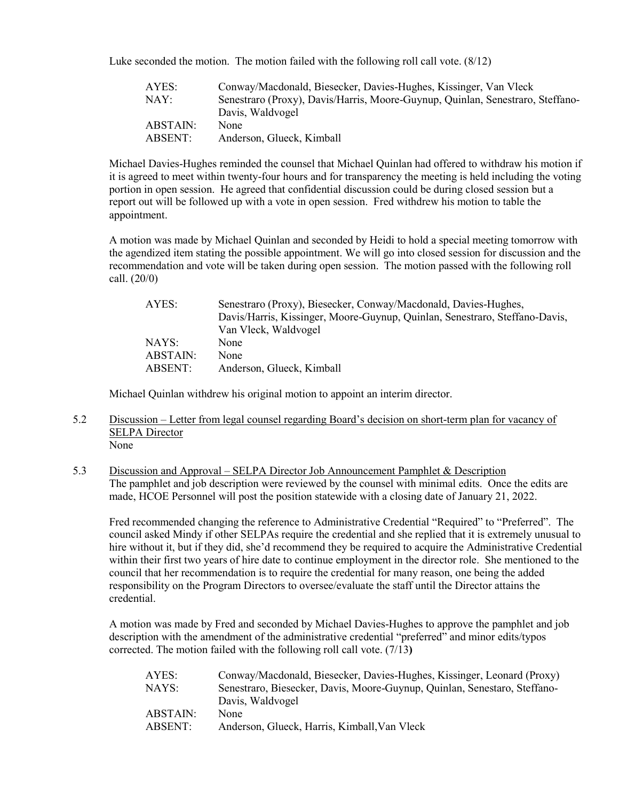Luke seconded the motion. The motion failed with the following roll call vote. (8/12)

| AYES:    | Conway/Macdonald, Biesecker, Davies-Hughes, Kissinger, Van Vleck               |
|----------|--------------------------------------------------------------------------------|
| NAY:     | Senestraro (Proxy), Davis/Harris, Moore-Guynup, Quinlan, Senestraro, Steffano- |
|          | Davis, Waldvogel                                                               |
| ABSTAIN: | None                                                                           |
| ABSENT:  | Anderson, Glueck, Kimball                                                      |

Michael Davies-Hughes reminded the counsel that Michael Quinlan had offered to withdraw his motion if it is agreed to meet within twenty-four hours and for transparency the meeting is held including the voting portion in open session. He agreed that confidential discussion could be during closed session but a report out will be followed up with a vote in open session. Fred withdrew his motion to table the appointment.

A motion was made by Michael Quinlan and seconded by Heidi to hold a special meeting tomorrow with the agendized item stating the possible appointment. We will go into closed session for discussion and the recommendation and vote will be taken during open session. The motion passed with the following roll call. (20/0)

| AYES:    | Senestraro (Proxy), Biesecker, Conway/Macdonald, Davies-Hughes,             |
|----------|-----------------------------------------------------------------------------|
|          | Davis/Harris, Kissinger, Moore-Guynup, Quinlan, Senestraro, Steffano-Davis, |
|          | Van Vleck, Waldvogel                                                        |
| NAYS:    | None                                                                        |
| ABSTAIN: | None                                                                        |
| ABSENT:  | Anderson, Glueck, Kimball                                                   |

Michael Quinlan withdrew his original motion to appoint an interim director.

- 5.2 Discussion Letter from legal counsel regarding Board's decision on short-term plan for vacancy of SELPA Director None
- 5.3 Discussion and Approval SELPA Director Job Announcement Pamphlet & Description The pamphlet and job description were reviewed by the counsel with minimal edits. Once the edits are made, HCOE Personnel will post the position statewide with a closing date of January 21, 2022.

Fred recommended changing the reference to Administrative Credential "Required" to "Preferred". The council asked Mindy if other SELPAs require the credential and she replied that it is extremely unusual to hire without it, but if they did, she'd recommend they be required to acquire the Administrative Credential within their first two years of hire date to continue employment in the director role. She mentioned to the council that her recommendation is to require the credential for many reason, one being the added responsibility on the Program Directors to oversee/evaluate the staff until the Director attains the credential.

A motion was made by Fred and seconded by Michael Davies-Hughes to approve the pamphlet and job description with the amendment of the administrative credential "preferred" and minor edits/typos corrected. The motion failed with the following roll call vote. (7/13**)**

| AYES:    | Conway/Macdonald, Biesecker, Davies-Hughes, Kissinger, Leonard (Proxy)    |
|----------|---------------------------------------------------------------------------|
| NAYS:    | Senestraro, Biesecker, Davis, Moore-Guynup, Quinlan, Senestaro, Steffano- |
|          | Davis, Waldvogel                                                          |
| ABSTAIN: | None                                                                      |
| ABSENT:  | Anderson, Glueck, Harris, Kimball, Van Vleck                              |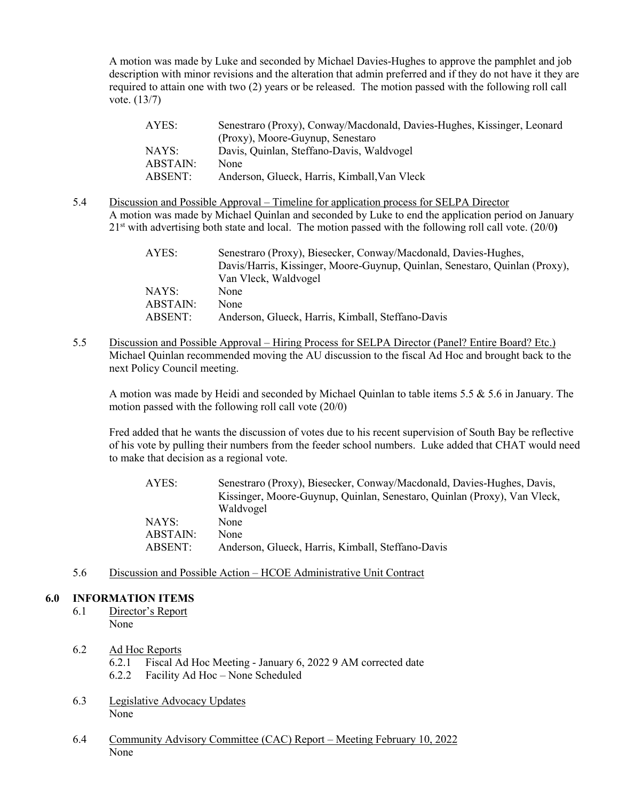A motion was made by Luke and seconded by Michael Davies-Hughes to approve the pamphlet and job description with minor revisions and the alteration that admin preferred and if they do not have it they are required to attain one with two (2) years or be released. The motion passed with the following roll call vote. (13/7)

| AYES:    | Senestraro (Proxy), Conway/Macdonald, Davies-Hughes, Kissinger, Leonard |
|----------|-------------------------------------------------------------------------|
|          | (Proxy), Moore-Guynup, Senestaro                                        |
| NAYS:    | Davis, Quinlan, Steffano-Davis, Waldvogel                               |
| ABSTAIN: | None                                                                    |
| ABSENT:  | Anderson, Glueck, Harris, Kimball, Van Vleck                            |

5.4 Discussion and Possible Approval – Timeline for application process for SELPA Director A motion was made by Michael Quinlan and seconded by Luke to end the application period on January 21st with advertising both state and local. The motion passed with the following roll call vote. (20/0**)**

| AYES:    | Senestraro (Proxy), Biesecker, Conway/Macdonald, Davies-Hughes,             |
|----------|-----------------------------------------------------------------------------|
|          | Davis/Harris, Kissinger, Moore-Guynup, Quinlan, Senestaro, Quinlan (Proxy), |
|          | Van Vleck, Waldvogel                                                        |
| NAYS:    | None                                                                        |
| ABSTAIN: | None                                                                        |
| ABSENT:  | Anderson, Glueck, Harris, Kimball, Steffano-Davis                           |

5.5 Discussion and Possible Approval – Hiring Process for SELPA Director (Panel? Entire Board? Etc.) Michael Quinlan recommended moving the AU discussion to the fiscal Ad Hoc and brought back to the next Policy Council meeting.

A motion was made by Heidi and seconded by Michael Quinlan to table items 5.5 & 5.6 in January. The motion passed with the following roll call vote (20/0)

Fred added that he wants the discussion of votes due to his recent supervision of South Bay be reflective of his vote by pulling their numbers from the feeder school numbers. Luke added that CHAT would need to make that decision as a regional vote.

| AYES:    | Senestraro (Proxy), Biesecker, Conway/Macdonald, Davies-Hughes, Davis,<br>Kissinger, Moore-Guynup, Quinlan, Senestaro, Quinlan (Proxy), Van Vleck, |
|----------|----------------------------------------------------------------------------------------------------------------------------------------------------|
|          | Waldvogel                                                                                                                                          |
| NAYS:    | None                                                                                                                                               |
| ABSTAIN: | None                                                                                                                                               |
| ABSENT:  | Anderson, Glueck, Harris, Kimball, Steffano-Davis                                                                                                  |

5.6 Discussion and Possible Action – HCOE Administrative Unit Contract

## **6.0 INFORMATION ITEMS**

- 6.1 Director's Report None
- 6.2 Ad Hoc Reports 6.2.1 Fiscal Ad Hoc Meeting - January 6, 2022 9 AM corrected date 6.2.2 Facility Ad Hoc – None Scheduled
- 6.3 Legislative Advocacy Updates None
- 6.4 Community Advisory Committee (CAC) Report Meeting February 10, 2022 None